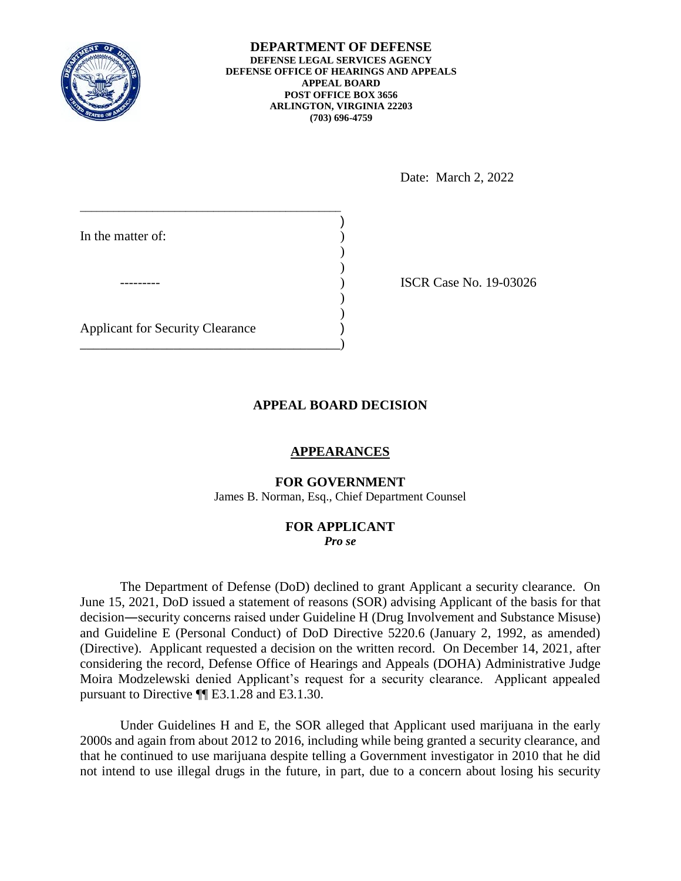

**DEPARTMENT OF DEFENSE DEFENSE LEGAL SERVICES AGENCY DEFENSE OFFICE OF HEARINGS AND APPEALS APPEAL BOARD POST OFFICE BOX 3656 ARLINGTON, VIRGINIA 22203 (703) 696-4759** 

Date: March 2, 2022

| In the matter of:                       |  |
|-----------------------------------------|--|
|                                         |  |
|                                         |  |
| <b>Applicant for Security Clearance</b> |  |

ISCR Case No. 19-03026

# **APPEAL BOARD DECISION**

## **APPEARANCES**

### **FOR GOVERNMENT**

James B. Norman, Esq., Chief Department Counsel

# **FOR APPLICANT**

*Pro se* 

 The Department of Defense (DoD) declined to grant Applicant a security clearance. On June 15, 2021, DoD issued a statement of reasons (SOR) advising Applicant of the basis for that and Guideline E (Personal Conduct) of DoD Directive 5220.6 (January 2, 1992, as amended) considering the record, Defense Office of Hearings and Appeals (DOHA) Administrative Judge Moira Modzelewski denied Applicant's request for a security clearance. Applicant appealed pursuant to Directive ¶¶ E3.1.28 and E3.1.30. decision―security concerns raised under Guideline H (Drug Involvement and Substance Misuse) (Directive). Applicant requested a decision on the written record. On December 14, 2021, after

 Under Guidelines H and E, the SOR alleged that Applicant used marijuana in the early 2000s and again from about 2012 to 2016, including while being granted a security clearance, and that he continued to use marijuana despite telling a Government investigator in 2010 that he did not intend to use illegal drugs in the future, in part, due to a concern about losing his security